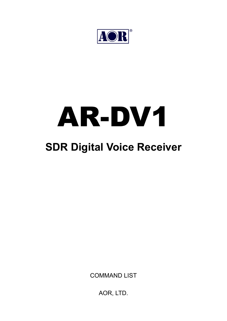

# AR-DV1

# **SDR Digital Voice Receiver**

COMMAND LIST

AOR, LTD.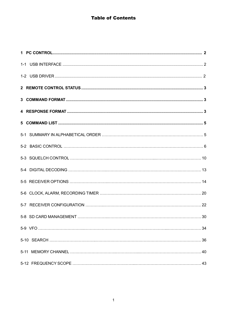# **Table of Contents**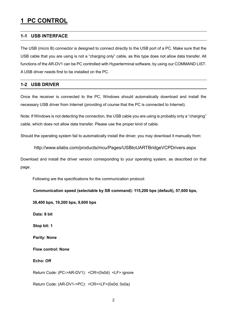# **1 PC CONTROL**

#### **1-1 USB INTERFACE**

The USB (micro B) connector is designed to connect directly to the USB port of a PC. Make sure that the USB cable that you are using is not a "charging only" cable, as this type does not allow data transfer. All functions of the AR-DV1 can be PC controlled with Hyperterminal software, by using our COMMAND LIST. A USB driver needs first to be installed on the PC.

#### **1-2 USB DRIVER**

Once the receiver is connected to the PC, Windows should automatically download and install the necessary USB driver from Internet (providing of course that the PC is connected to Internet).

Note: If Windows is not detecting the connection, the USB cable you are using is probably only a "charging" cable, which does not allow data transfer. Please use the proper kind of cable.

Should the operating system fail to automatically install the driver, you may download it manually from:

http://www.silabs.com/products/mcu/Pages/USBtoUARTBridgeVCPDrivers.aspx

Download and install the driver version corresponding to your operating system, as described on that page.

Following are the specifications for the communication protocol:

**Communication speed (selectable by SB command): 115,200 bps (default), 57,600 bps,** 

**38,400 bps, 19,200 bps, 9,600 bps** 

 **Data: 8 bit** 

 **Stop bit: 1** 

 **Parity: None** 

 **Flow control: None** 

 **Echo: Off** 

Return Code: (PC->AR-DV1): <CR>(0x0d) <LF> ignore

Return Code: (AR-DV1->PC): <CR><LF>(0x0d, 0x0a)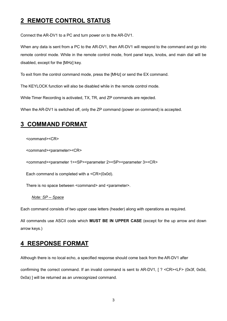# **2 REMOTE CONTROL STATUS**

Connect the AR-DV1 to a PC and turn power on to the AR-DV1.

When any data is sent from a PC to the AR-DV1, then AR-DV1 will respond to the command and go into remote control mode. While in the remote control mode, front panel keys, knobs, and main dial will be disabled, except for the [MHz] key.

To exit from the control command mode, press the [MHz] or send the EX command.

The KEYLOCK function will also be disabled while in the remote control mode.

While Timer Recording is activated, TX, TR, and ZP commands are rejected.

When the AR-DV1 is switched off, only the ZP command (power on command) is accepted.

# **3 COMMAND FORMAT**

<command><CR>

<command><parameter><CR>

<command><parameter 1><SP><parameter 2><SP><parameter 3><CR>

Each command is completed with a <CR>(0x0d).

There is no space between <command> and <parameter>.

#### *Note: SP -- Space*

Each command consists of two upper case letters (header) along with operations as required.

All commands use ASCII code which **MUST BE IN UPPER CASE** (except for the up arrow and down arrow keys.)

# **4 RESPONSE FORMAT**

Although there is no local echo, a specified response should come back from the AR-DV1 after

confirming the correct command. If an invalid command is sent to AR-DV1, [ ? <CR><LF> (0x3f, 0x0d, 0x0a) ] will be returned as an unrecognized command.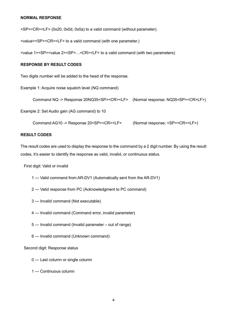#### **NORMAL RESPONSE**

<SP><CR><LF> (0x20, 0x0d, 0x0a) to a valid command (without parameter).

<value><SP><CR><LF> to a valid command (with one parameter.)

<value 1><SP><value 2><SP><CR><LF> to a valid command (with two parameters)

#### **RESPONSE BY RESULT CODES**

Two digits number will be added to the head of the response.

Example 1: Acquire noise squelch level (NQ command)

```
 Command NQ -> Response 20NQ35<SP><CR><LF> (Normal response: NQ35<SP><CR>LF>)
```
Example 2: Set Audio gain (AG command) to 10

Command AG10 -> Response 20<SP><CR><LF> (Normal response: <SP><CR><LF>)

#### **RESULT CODES**

The result codes are used to display the response to the command by a 2 digit number. By using the result codes, it's easier to identify the response as valid, invalid, or continuous status.

First digit: Valid or invalid

- 1 --- Valid command from AR-DV1 (Automatically sent from the AR-DV1)
- 2 --- Valid response from PC (Acknowledgment to PC command)
- 3 --- Invalid command (Not executable)
- 4 --- Invalid command (Command error, invalid parameter)
- 5 --- Invalid command (Invalid parameter out of range)
- 6 --- Invalid command (Unknown command)

Second digit: Response status

- 0 --- Last column or single column
- 1 --- Continuous column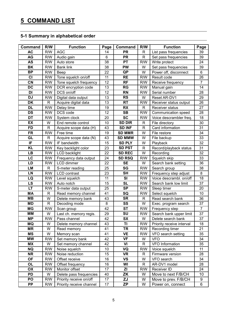#### **5-1 Summary in alphabetical order**

| Command   | R/W             | <b>Function</b>          | Page | Command         | R/W          | <b>Function</b>           | Page           |
|-----------|-----------------|--------------------------|------|-----------------|--------------|---------------------------|----------------|
| <b>AC</b> | R/W             | <b>AGC</b><br>14         |      | <b>PR</b>       | $\mathsf{R}$ | List pass frequencies     | 39             |
| AG        | R/W             | Audio gain               | 6    | <b>PR</b>       | R            | Set pass frequencies      | 39             |
| <b>AS</b> | R/W             | Auto store               | 38   | <b>PT</b>       | R/W          | Write protect             | 24             |
| <b>BK</b> | R/W             | <b>Bank link</b>         | 38   | PW              | W            | Set pass frequencies      | 39             |
| <b>BP</b> | R/W             | Beep                     | 22   | QP              | W            | Power off, disconnect     | 6              |
| CI        | R/W             | Tone squelch on/off      | 11   | <b>RE</b>       | R/W          | Result code               | 26             |
| CN        | R/W             | Tone squelch frequency   | 12   | <b>RF</b>       | R/W          | Receive frequency         | $\overline{7}$ |
| <b>DC</b> | <b>R/W</b>      | DCR encryption code      | 13   | <b>RG</b>       | R/W          | Manual gain               | 14             |
| DI        | R/W             | DCS on/off               | 12   | <b>RN</b>       | R/W          | Serial number             | 28             |
| <b>DJ</b> | R/W             | Digital data output      | 13   | <b>RS</b>       | W            | Reset AR-DV1              | 29             |
| <b>DK</b> | R               | Acquire digital data     | 13   | <b>RT</b>       | R/W          | Receiver status output    | 26             |
| <b>DL</b> | R/W             | Delay time               | 19   | <b>RX</b>       | R            | <b>Receiver status</b>    | 27             |
| <b>DS</b> | R/W             | DCS code                 | 12   | <b>SB</b>       | R/W          | Communication speed       | 28             |
| <b>DT</b> | R/W             | System clock             | 20   | <b>SC</b>       | R/W          | Voice descrambler freq.   | 18             |
| EX        | W               | End remote control       | 10   | <b>SD DIR</b>   | R            | File directory            | 30             |
| <b>FD</b> | $\mathsf{R}$    | Acquire scope data (H)   | 43   | <b>SD INF</b>   | $\mathsf{R}$ | Card information          | 31             |
| <b>FR</b> | R/W             | Free time                | 19   | <b>SD MMR</b>   | W            | File restore              | 34             |
| GL        | $\mathsf{R}$    | Acquire scope data (N)   | 43   | <b>SD MMW</b>   | W            | File backup               | 33             |
| IF        | R/W             | IF bandwidth             | 15   | <b>SD PLY</b>   | W            | Playback                  | 32             |
| <b>KL</b> | R/W             | Key backlight color      | 23   | <b>SD PST</b>   | R            | Record/playback status    | 31             |
| <b>LB</b> | R/W             | <b>LCD backlight</b>     | 22   | <b>SD REC</b>   | W            | Recording                 | 32             |
| LC        | R/W             | Frequency data output    | 24   | <b>SD RSQ</b>   | <b>R/W</b>   | Squelch skip              | 33             |
| LD        | R/W             | LCD dimmer               | 22   | <b>SE</b>       | W            | Search bank setting       | 36             |
| <b>LM</b> | $\mathsf{R}$    | S-meter reading          | 25   | SG              | R/W          | Search group              | 38             |
| LN        | R/W             | <b>LCD</b> contrast      | 23   | <b>SH</b>       | R/W          | Frequency step adjust     | 8              |
| LQ        | R/W             | Level squelch            | 11   | SI              | R/W          | Voice descrambl. on/off   | 18             |
| LS        | R/W             | Auto notch               | 15   | <b>SL</b>       | R/W          | Search bank low limit     | 37             |
| <b>LT</b> | R/W             | S-meter data output      | 25   | <b>SP</b>       | R/W          | Sleep timer               | 20             |
| <b>MA</b> | $\mathsf{R}$    | Read memory channel      | 41   | SQ              | R/W          | Select squelch            | 10             |
| <b>MB</b> | W               | Delete memory bank       | 43   | <b>SR</b>       | $\mathsf{R}$ | Read search bank          | 36             |
| MD        | $\mathsf{R}$    | Decoding mode            | 8    | SS              | W            | Exec. program search      | 37             |
| <b>MG</b> | <b>R/W</b>      | Scan group               | 42   | <b>ST</b>       | R/W          | Frequency step            | $\overline{7}$ |
| <b>MM</b> | W               | Last ch. memory regis.   | 29   | SU              | R/W          | Search bank upper limit   | 37             |
| <b>MP</b> | R/W             | Pass channel             | 42   | <b>SX</b>       | W            | Delete search bank        | 37             |
| MQ        | W               | Delete memory channel    | 43   | TI              | R/W          | Priority receive interval | 18             |
| <b>MR</b> | W               | Read memory              | 41   | TR              | R/W          | Recording timer           | 21             |
| MS        | W               | Memory scan              | 41   | <b>VE</b>       | R/W          | VFO search setting        | 35             |
| МW        | R/W             | Set memory bank          | 42   | <b>VF</b>       | W            | <b>VFO</b>                | 34             |
| <b>MX</b> | W               | Set memory channel       | 42   | VI              | R            | VFO Information           | 35             |
| <b>NQ</b> | R/W             | Noise squelch            | 10   | VQ              | R/W          | Voice squelch             | 11             |
| <b>NR</b> | R/W             | Noise reduction          | 15   | VR              | R            | Firmware version          | 28             |
| <b>OF</b> | R/W             | Offset receive           | 16   | <b>VS</b>       | W            | VFO search                | 34             |
| OL        | R/W             | Offset frequency         | 16   | WI              | R            | AR-DV1 model              | 28             |
| OX        | <b>R/W</b><br>W | Monitor offset           | 17   | ΖI              | R/W<br>W     | Receiver ID               | 24             |
| PD<br>PO  |                 | Delete pass frequencies  | 40   | ZK              | W            | Move to next F/B/CH       | 10             |
| <b>PP</b> | R/W             | Priority receive on/off  | 17   | ZJ<br><b>ZP</b> | W            | Move to prev. F/B/CH      | 9<br>6         |
|           | R/W             | Priority receive channel | 17   |                 |              | Power on, connect         |                |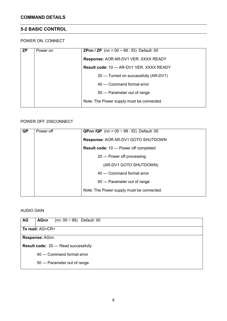# **5-2 BASIC CONTROL**

#### POWER ON, CONNECT

| <b>ZP</b> | Power on | <b>ZPnn / ZP</b> (nn = $00 \sim 99$ : ID) Default: 00 |
|-----------|----------|-------------------------------------------------------|
|           |          | <b>Response: AOR AR-DV1 VER. XXXX READY</b>           |
|           |          | <b>Result code: 10 --- AR-DV1 VER. XXXX READY</b>     |
|           |          | 20 --- Turned on successfully (AR-DV1)                |
|           |          | 40 --- Command format error                           |
|           |          | 50 --- Parameter out of range                         |
|           |          | Note: The Power supply must be connected.             |
|           |          |                                                       |

#### POWER OFF, DISCONNECT

| <b>QP</b> | Power off | <b>QPnn /QP</b> (nn = $00 \sim 99$ : ID) Default: 00 |
|-----------|-----------|------------------------------------------------------|
|           |           | Response: AOR AR-DV1 GOTO SHUTDOWN                   |
|           |           | <b>Result code: 10 --- Power off completed</b>       |
|           |           | 20 --- Power off processing                          |
|           |           | (AR-DV1 GOTO SHUTDOWN)                               |
|           |           | 40 --- Command format error                          |
|           |           | 50 --- Parameter out of range                        |
|           |           | Note: The Power supply must be connected.            |

#### AUDIO GAIN

| AG | (nn: $00 \sim 99$ ) Default: 00<br><b>AGnn</b> |
|----|------------------------------------------------|
|    | To read: AG <cr></cr>                          |
|    | Response: AGnn                                 |
|    | <b>Result code: 20 --- Read successfully</b>   |
|    | 40 --- Command format error                    |
|    | 50 --- Parameter out of range                  |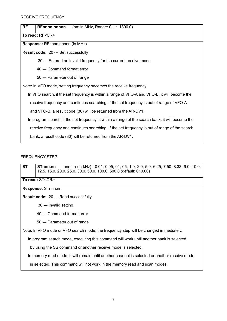**RF RFnnnn.nnnnn** (nn: in MHz, Range: 0.1 ~ 1300.0)

**To read:** RF<CR>

**Response:** RFnnnn.nnnnn (in MHz)

**Result code:** 20 --- Set successfully

30 --- Entered an invalid frequency for the current receive mode

40 --- Command format error

50 --- Parameter out of range

Note: In VFO mode, setting frequency becomes the receive frequency.

In VFO search, if the set frequency is within a range of VFO-A and VFO-B, it will become the

receive frequency and continues searching. If the set frequency is out of range of VFO-A

and VFO-B, a result code (30) will be returned from the AR-DV1.

In program search, if the set frequency is within a range of the search bank, it will become the

receive frequency and continues searching. If the set frequency is out of range of the search

bank, a result code (30) will be returned from the AR-DV1.

#### FREQUENCY STEP

**ST STnnn.nn** nnn.nn (in kHz) : 0.01, 0.05, 01, 05, 1.0, 2.0, 5.0, 6.25, 7.50, 8.33, 9.0, 10.0, 12.5, 15.0, 20.0, 25.0, 30.0, 50.0, 100.0, 500.0 (default: 010.00)

**To read:** ST<CR>

#### **Response:** STnnn.nn

**Result code:** 20 --- Read successfully

30 --- Invalid setting

40 --- Command format error

50 --- Parameter out of range

Note: In VFO mode or VFO search mode, the frequency step will be changed immediately.

In program search mode, executing this command will work until another bank is selected

by using the SS command or another receive mode is selected.

In memory read mode, it will remain until another channel is selected or another receive mode

is selected. This command will not work in the memory read and scan modes.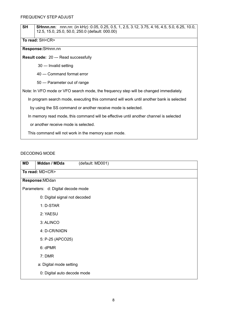| <b>SH</b>                                                                             | <b>SHnnn.nn</b> : nnn.nn: (in kHz):0.05, 0.25, 0.5, 1, 2.5, 3.12, 3.75, 4.16, 4.5, 5.0, 6.25, 10.0,<br>12.5, 15.0, 25.0, 50.0, 250.0 (default: 000.00) |  |  |  |  |
|---------------------------------------------------------------------------------------|--------------------------------------------------------------------------------------------------------------------------------------------------------|--|--|--|--|
|                                                                                       | To read: SH <cr></cr>                                                                                                                                  |  |  |  |  |
|                                                                                       | Response: SHnnn.nn                                                                                                                                     |  |  |  |  |
|                                                                                       | <b>Result code: 20 --- Read successfully</b>                                                                                                           |  |  |  |  |
|                                                                                       | 30 --- Invalid setting                                                                                                                                 |  |  |  |  |
|                                                                                       | 40 --- Command format error                                                                                                                            |  |  |  |  |
|                                                                                       | 50 --- Parameter out of range                                                                                                                          |  |  |  |  |
| Note: In VFO mode or VFO search mode, the frequency step will be changed immediately. |                                                                                                                                                        |  |  |  |  |
|                                                                                       | In program search mode, executing this command will work until another bank is selected                                                                |  |  |  |  |
|                                                                                       | by using the SS command or another receive mode is selected.                                                                                           |  |  |  |  |
|                                                                                       | In memory read mode, this command will be effective until another channel is selected                                                                  |  |  |  |  |
| or another receive mode is selected.                                                  |                                                                                                                                                        |  |  |  |  |
| This command will not work in the memory scan mode.                                   |                                                                                                                                                        |  |  |  |  |
|                                                                                       |                                                                                                                                                        |  |  |  |  |

#### DECODING MODE

| <b>MD</b> | Mddan / MDda                       | (default: MD001) |  |  |  |
|-----------|------------------------------------|------------------|--|--|--|
|           | To read: MD <cr></cr>              |                  |  |  |  |
|           | Response: MDdan                    |                  |  |  |  |
|           | Parameters: d: Digital decode mode |                  |  |  |  |
|           | 0: Digital signal not decoded      |                  |  |  |  |
|           | 1: D-STAR                          |                  |  |  |  |
|           | 2: YAESU                           |                  |  |  |  |
|           | 3: ALINCO                          |                  |  |  |  |
|           | 4: D-CR/NXDN                       |                  |  |  |  |
|           | 5: P-25 (APCO25)                   |                  |  |  |  |
|           | 6: dPMR                            |                  |  |  |  |
|           | 7: DMR                             |                  |  |  |  |
|           | a: Digital mode setting            |                  |  |  |  |
|           | 0: Digital auto decode mode        |                  |  |  |  |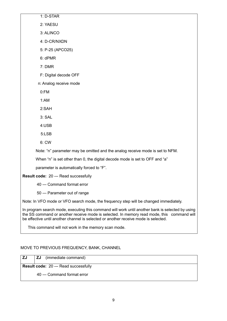1: D-STAR 2: YAESU 3: ALINCO 4: D-CR/NXDN 5: P-25 (APCO25) 6: dPMR 7: DMR F: Digital decode OFF n: Analog receive mode 0:FM 1:AM 2:SAH 3: SAL 4:USB 5:LSB 6: CW Note: "n" parameter may be omitted and the analog receive mode is set to NFM. When "n" is set other than 0, the digital decode mode is set to OFF and "a" parameter is automatically forced to "F". **Result code:** 20 --- Read successfully 40 --- Command format error 50 --- Parameter out of range

Note: In VFO mode or VFO search mode, the frequency step will be changed immediately.

In program search mode, executing this command will work until another bank is selected by using the SS command or another receive mode is selected. In memory read mode, this command will be effective until another channel is selected or another receive mode is selected.

This command will not work in the memory scan mode.

#### MOVE TO PREVIOUS FREQUENCY, BANK, CHANNEL

**ZJ ZJ** (immediate command) **Result code:** 20 --- Read successfully 40 --- Command format error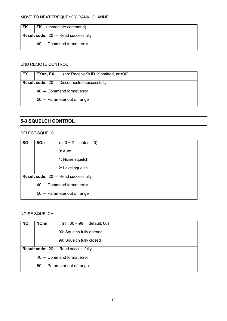**ZK ZK** (immediate command)

**Result code:** 20 --- Read successfully

40 --- Command format error

#### END REMOTE CONTROL

| EX | EXnn, EX | (nn: Receiver's ID. If omitted, nn=00)               |
|----|----------|------------------------------------------------------|
|    |          | <b>Result code: 20 --- Disconnected successfully</b> |
|    |          | 40 --- Command format error                          |
|    |          | 50 --- Parameter out of range                        |

#### **5-3 SQUELCH CONTROL**

#### SELECT SQUELCH

| SQ | SQn | (n: $0 \sim 2$<br>default: 0)                |
|----|-----|----------------------------------------------|
|    |     | $0:$ Auto                                    |
|    |     | 1: Noise squelch                             |
|    |     | 2: Level squelch                             |
|    |     | <b>Result code: 20 --- Read successfully</b> |
|    |     | 40 --- Command format error                  |
|    |     | 50 --- Parameter out of range                |
|    |     |                                              |

#### NOISE SQUELCH

| <b>NQ</b> | <b>NQnn</b> | (nn: $00 \sim 99$ )<br>default: 00)          |  |
|-----------|-------------|----------------------------------------------|--|
|           |             | 00: Squelch fully opened                     |  |
|           |             | 99: Squelch fully closed                     |  |
|           |             | <b>Result code: 20 --- Read successfully</b> |  |
|           |             | 40 --- Command format error                  |  |
|           |             | 50 --- Parameter out of range                |  |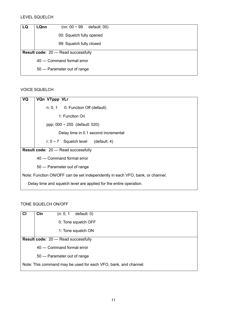| LQ | <b>LQnn</b> | (nn: $00 \sim 99$                     | default: 00) |
|----|-------------|---------------------------------------|--------------|
|    |             | 00: Squelch fully opened              |              |
|    |             | 99: Squelch fully closed              |              |
|    |             | Result code: 20 --- Read successfully |              |
|    |             | 40 --- Command format error           |              |
|    |             | 50 --- Parameter out of range         |              |

#### VOICE SQUELCH

| VQ | VQn VTppp VLr                                                                 |
|----|-------------------------------------------------------------------------------|
|    | $n: 0, 1$ 0: Function Off (default)                                           |
|    | 1: Function On                                                                |
|    | ppp: $000 \sim 255$ (default: 020)                                            |
|    | Delay time in 0.1 second incremental                                          |
|    | r: $0 \sim 7$ Squelch level (default: 4)                                      |
|    | <b>Result code: 20 --- Read successfully</b>                                  |
|    | 40 --- Command format error                                                   |
|    | 50 --- Parameter out of range                                                 |
|    | Note: Function ON/OFF can be set independently in each VFO, bank, or channel. |
|    | Delay time and squelch level are applied for the entire operation.            |

#### TONE SQUELCH ON/OFF

| <b>CI</b> | Cln<br>default: 0)<br>(n: 0, 1)                                 |
|-----------|-----------------------------------------------------------------|
|           | 0: Tone squelch OFF                                             |
|           | 1: Tone squelch ON                                              |
|           | <b>Result code: 20 --- Read successfully</b>                    |
|           | 40 --- Command format error                                     |
|           | 50 --- Parameter out of range                                   |
|           | Note: This command may be used for each VFO, bank, and channel. |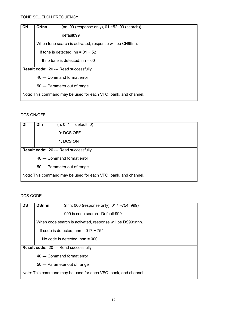| <b>CN</b> | <b>CNnn</b> | (nn: 00 (response only), $01 - 52$ , 99 (search))               |
|-----------|-------------|-----------------------------------------------------------------|
|           |             | default:99                                                      |
|           |             | When tone search is activated, response will be CN99nn.         |
|           |             | If tone is detected, nn = $01 \sim 52$                          |
|           |             | If no tone is detected, $nn = 00$                               |
|           |             | <b>Result code: 20 --- Read successfully</b>                    |
|           |             | 40 --- Command format error                                     |
|           |             | 50 --- Parameter out of range                                   |
|           |             | Note: This command may be used for each VFO, bank, and channel. |
|           |             |                                                                 |

#### DCS ON/OFF

| DI | <b>D</b> In<br>default: 0)<br>(n: 0, 1                          |
|----|-----------------------------------------------------------------|
|    | 0: DCS OFF                                                      |
|    | 1: DCS ON                                                       |
|    | <b>Result code: 20 --- Read successfully</b>                    |
|    | 40 --- Command format error                                     |
|    | 50 --- Parameter out of range                                   |
|    | Note: This command may be used for each VFO, bank, and channel. |

# DCS CODE

| <b>DS</b> | <b>DSnnn</b><br>(nnn: 000 (response only), 017 ~754, 999)       |
|-----------|-----------------------------------------------------------------|
|           | 999 is code search. Default:999                                 |
|           | When code search is activated, response will be DS999nnn.       |
|           | If code is detected, nnn = $017 \sim 754$                       |
|           | No code is detected, $nnn = 000$                                |
|           | <b>Result code: 20 --- Read successfully</b>                    |
|           | 40 --- Command format error                                     |
|           | 50 --- Parameter out of range                                   |
|           | Note: This command may be used for each VFO, bank, and channel. |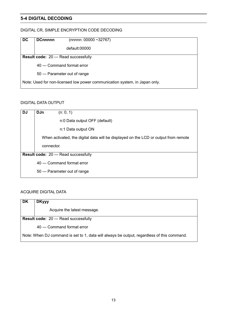# **5-4 DIGITAL DECODING**

#### DIGITAL CR, SIMPLE ENCRYPTION CODE DECODING

| <b>DC</b> | <b>DCnnnnn</b><br>(nnnnn: 00000 ~32767)                                    |
|-----------|----------------------------------------------------------------------------|
|           | default:00000                                                              |
|           | <b>Result code: 20 --- Read successfully</b>                               |
|           | 40 --- Command format error                                                |
|           | 50 --- Parameter out of range                                              |
|           | Note: Used for non-licensed low power communication system, in Japan only. |

#### DIGITAL DATA OUTPUT

| <b>DJ</b> | <b>DJn</b><br>(n: 0, 1)                                                             |
|-----------|-------------------------------------------------------------------------------------|
|           | n:0 Data output OFF (default)                                                       |
|           | n:1 Data output ON                                                                  |
|           | When activated, the digital data will be displayed on the LCD or output from remote |
|           | connector.                                                                          |
|           | <b>Result code: 20 --- Read successfully</b>                                        |
|           | 40 --- Command format error                                                         |
|           | 50 --- Parameter out of range                                                       |

#### ACQUIRE DIGITAL DATA

| DK | <b>DKyyy</b>                                                                               |  |  |
|----|--------------------------------------------------------------------------------------------|--|--|
|    | Acquire the latest message.                                                                |  |  |
|    | <b>Result code: 20 --- Read successfully</b>                                               |  |  |
|    | 40 --- Command format error                                                                |  |  |
|    | Note: When DJ command is set to 1, data will always be output, regardless of this command. |  |  |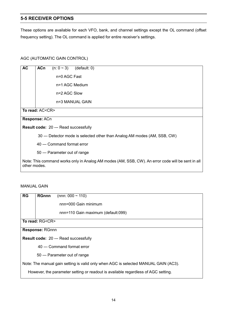#### **5-5 RECEIVER OPTIONS**

These options are available for each VFO, bank, and channel settings except the OL command (offset frequency setting). The OL command is applied for entire receiver's settings.

#### AGC (AUTOMATIC GAIN CONTROL)

| <b>AC</b>    | <b>ACn</b><br>$(n: 0 \sim 3)$ (default: 0)                                                        |  |  |  |  |
|--------------|---------------------------------------------------------------------------------------------------|--|--|--|--|
|              | n=0 AGC Fast                                                                                      |  |  |  |  |
|              | n=1 AGC Medium                                                                                    |  |  |  |  |
|              | n=2 AGC Slow                                                                                      |  |  |  |  |
|              | n=3 MANUAL GAIN                                                                                   |  |  |  |  |
|              | To read: AC <cr></cr>                                                                             |  |  |  |  |
|              | Response: ACn                                                                                     |  |  |  |  |
|              | Result code: 20 --- Read successfully                                                             |  |  |  |  |
|              | 30 --- Detector mode is selected other than Analog AM modes (AM, SSB, CW)                         |  |  |  |  |
|              | 40 --- Command format error                                                                       |  |  |  |  |
|              | 50 --- Parameter out of range                                                                     |  |  |  |  |
| other modes. | Note: This command works only in Analog AM modes (AM, SSB, CW). An error code will be sent in all |  |  |  |  |

#### MANUAL GAIN

| RG | <b>RGnnn</b><br>(nnn: $000 \sim 110$ )                                              |
|----|-------------------------------------------------------------------------------------|
|    | nnn=000 Gain minimum                                                                |
|    | nnn=110 Gain maximum (default:099)                                                  |
|    | To read: RG <cr></cr>                                                               |
|    | Response: RGnnn                                                                     |
|    | <b>Result code: 20 --- Read successfully</b>                                        |
|    | 40 --- Command format error                                                         |
|    | 50 --- Parameter out of range                                                       |
|    | Note: The manual gain setting is valid only when AGC is selected MANUAL GAIN (AC3). |
|    | However, the parameter setting or readout is available regardless of AGC setting.   |
|    |                                                                                     |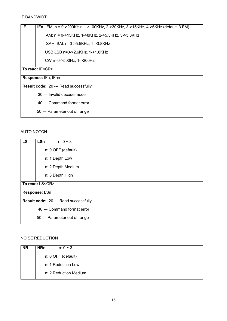#### IF BANDWIDTH

| IF. | IFn FM: n = 0->200KHz, 1->100KHz, 2->30KHz, 3->15KHz, 4->6KHz (default: 3 FM) |  |  |  |  |
|-----|-------------------------------------------------------------------------------|--|--|--|--|
|     | AM: n = 0->15KHz, 1->8KHz, 2->5.5KHz, 3->3.8KHz                               |  |  |  |  |
|     | SAH, SAL n=0->5.5KHz, 1->3.8KHz                                               |  |  |  |  |
|     | USB LSB n=0->2.6KHz, 1->1.8KHz                                                |  |  |  |  |
|     | CW n=0->500Hz, 1->200Hz                                                       |  |  |  |  |
|     | To read: IF <cr></cr>                                                         |  |  |  |  |
|     | Response: IFn, IFnn                                                           |  |  |  |  |
|     | <b>Result code: 20 --- Read successfully</b>                                  |  |  |  |  |
|     | 30 --- Invalid decode mode                                                    |  |  |  |  |
|     | 40 --- Command format error                                                   |  |  |  |  |
|     | 50 --- Parameter out of range                                                 |  |  |  |  |

#### AUTO NOTCH

| <b>LS</b> | <b>LSn</b>            | $n: 0 \sim 3$                                |  |  |
|-----------|-----------------------|----------------------------------------------|--|--|
|           |                       | n: 0 OFF (default)                           |  |  |
|           | n: 1 Depth Low        |                                              |  |  |
|           |                       | n: 2 Depth Medium                            |  |  |
|           | n: 3 Depth High       |                                              |  |  |
|           | To read: LS <cr></cr> |                                              |  |  |
|           | Response: LSn         |                                              |  |  |
|           |                       | <b>Result code: 20 --- Read successfully</b> |  |  |
|           |                       | 40 --- Command format error                  |  |  |
|           |                       | 50 --- Parameter out of range                |  |  |

#### NOISE REDUCTION

| n: 0 OFF (default)    |
|-----------------------|
| n: 1 Reduction Low    |
| n: 2 Reduction Medium |
|                       |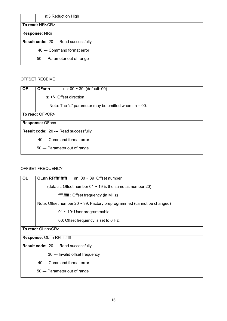n:3 Reduction High

#### **To read:** NR<CR>

# **Response:** NRn

**Result code:** 20 --- Read successfully

40 --- Command format error

50 --- Parameter out of range

#### OFFSET RECEIVE

| <b>OF</b> | <b>OFsnn</b><br>nn: $00 \sim 39$ (default: 00)          |
|-----------|---------------------------------------------------------|
|           |                                                         |
|           | $s: +/-$ Offset direction                               |
|           | Note: The "s" parameter may be omitted when $nn = 00$ . |
|           | To read: OF <cr></cr>                                   |
|           | <b>Response: OFnns</b>                                  |
|           | <b>Result code: 20 --- Read successfully</b>            |
|           | 40 --- Command format error                             |
|           | 50 --- Parameter out of range                           |

#### OFFSET FREQUENCY

| OL | <b>OLnn RFffff.fffff</b><br>nn: $00 \sim 39$ Offset number                  |  |  |
|----|-----------------------------------------------------------------------------|--|--|
|    | (default: Offset number $01 \sim 19$ is the same as number 20)              |  |  |
|    | ffff.fffff : Offset frequency (in MHz)                                      |  |  |
|    | Note: Offset number 20 $\sim$ 39: Factory preprogrammed (cannot be changed) |  |  |
|    | $01 \sim 19$ : User programmable                                            |  |  |
|    | 00: Offset frequency is set to 0 Hz.                                        |  |  |
|    | To read: OLnn <cr></cr>                                                     |  |  |
|    | <b>Response: OLnn RFffff.fffff</b>                                          |  |  |
|    | <b>Result code: 20 --- Read successfully</b>                                |  |  |
|    | 30 --- Invalid offset frequency                                             |  |  |
|    | 40 --- Command format error                                                 |  |  |
|    | 50 --- Parameter out of range                                               |  |  |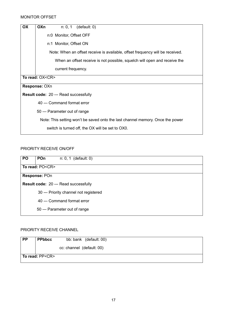| <b>OX</b> | <b>OXn</b>                                                                     |                                              | $n: 0, 1$ (default: 0)                                                        |
|-----------|--------------------------------------------------------------------------------|----------------------------------------------|-------------------------------------------------------------------------------|
|           |                                                                                | n:0 Monitor, Offset OFF                      |                                                                               |
|           |                                                                                | n:1 Monitor, Offset ON                       |                                                                               |
|           |                                                                                |                                              | Note: When an offset receive is available, offset frequency will be received. |
|           |                                                                                |                                              | When an offset receive is not possible, squelch will open and receive the     |
|           |                                                                                | current frequency.                           |                                                                               |
|           | To read: OX <cr></cr>                                                          |                                              |                                                                               |
|           | Response: OXn                                                                  |                                              |                                                                               |
|           |                                                                                | <b>Result code: 20 --- Read successfully</b> |                                                                               |
|           |                                                                                | 40 --- Command format error                  |                                                                               |
|           |                                                                                | 50 --- Parameter out of range                |                                                                               |
|           | Note: This setting won't be saved onto the last channel memory. Once the power |                                              |                                                                               |
|           |                                                                                |                                              | switch is turned off, the OX will be set to OX0.                              |

#### PRIORITY RECEIVE ON/OFF

| <b>PO</b> | POn<br>$n: 0, 1$ (default: 0)                |
|-----------|----------------------------------------------|
|           | To read: PO <cr></cr>                        |
|           | Response: POn                                |
|           | <b>Result code: 20 --- Read successfully</b> |
|           | 30 --- Priority channel not registered       |
|           | 40 --- Command format error                  |
|           | 50 --- Parameter out of range                |

#### PRIORITY RECEIVE CHANNEL

| <b>PP</b> | <b>PPbbcc</b>         | bb: bank (default: 00)    |  |
|-----------|-----------------------|---------------------------|--|
|           |                       | cc: channel (default: 00) |  |
|           | To read: PP <cr></cr> |                           |  |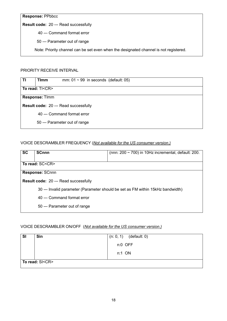**Response:** PPbbcc

**Result code:** 20 --- Read successfully

40 --- Command format error

50 --- Parameter out of range

Note: Priority channel can be set even when the designated channel is not registered.

#### PRIORITY RECEIVE INTERVAL

| ΤI | <b>Timm</b>                                  | mm: $01 \sim 99$ in seconds (default: 05) |  |
|----|----------------------------------------------|-------------------------------------------|--|
|    |                                              |                                           |  |
|    | To read: TI <cr></cr>                        |                                           |  |
|    | Response: Timm                               |                                           |  |
|    | <b>Result code: 20 --- Read successfully</b> |                                           |  |
|    |                                              | 40 --- Command format error               |  |
|    |                                              | 50 --- Parameter out of range             |  |

#### VOICE DESCRAMBLER FREQUENCY (*Not available for the US consumer version.)*

| <b>SC</b> | <b>SCnnn</b>                          | (nnn: $200 \sim 700$ ) in 10Hz incremental, default: 200.                        |  |
|-----------|---------------------------------------|----------------------------------------------------------------------------------|--|
|           | To read: SC <cr></cr>                 |                                                                                  |  |
|           | Response: SCnnn                       |                                                                                  |  |
|           | Result code: 20 --- Read successfully |                                                                                  |  |
|           |                                       | 30 --- Invalid parameter (Parameter should be set as FM within 15 kHz bandwidth) |  |
|           | 40 --- Command format error           |                                                                                  |  |
|           | 50 --- Parameter out of range         |                                                                                  |  |

#### VOICE DESCRAMBLER ON/OFF (*Not available for the US consumer version.)*

| <b>SI</b>             | Sin | $(n: 0, 1)$ (default: 0) |
|-----------------------|-----|--------------------------|
|                       |     | n:0 OFF                  |
|                       |     | n:1 ON                   |
| To read: SI <cr></cr> |     |                          |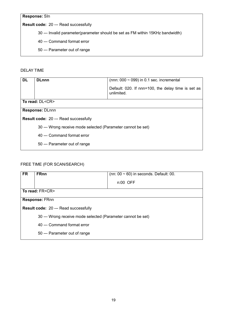**Response:** SIn

**Result code:** 20 --- Read successfully

30 --- Invalid parameter(parameter should be set as FM within 15KHz bandwidth)

40 --- Command format error

50 --- Parameter out of range

DELAY TIME

| <b>DL</b>                                    | <b>DLnnn</b>                                                 | (nnn: $000 \sim 099$ ) in 0.1 sec. incremental     |  |
|----------------------------------------------|--------------------------------------------------------------|----------------------------------------------------|--|
|                                              |                                                              |                                                    |  |
|                                              |                                                              | Default: 020. If nnn=100, the delay time is set as |  |
|                                              |                                                              | unlimited.                                         |  |
|                                              |                                                              |                                                    |  |
|                                              | To read: DL <cr></cr>                                        |                                                    |  |
|                                              |                                                              |                                                    |  |
|                                              | <b>Response: DLnnn</b>                                       |                                                    |  |
|                                              |                                                              |                                                    |  |
| <b>Result code: 20 --- Read successfully</b> |                                                              |                                                    |  |
|                                              |                                                              |                                                    |  |
|                                              | 30 --- Wrong receive mode selected (Parameter cannot be set) |                                                    |  |
|                                              | 40 --- Command format error                                  |                                                    |  |
|                                              |                                                              |                                                    |  |
|                                              | 50 --- Parameter out of range                                |                                                    |  |
|                                              |                                                              |                                                    |  |
|                                              |                                                              |                                                    |  |

#### FREE TIME (FOR SCAN/SEARCH)

| <b>FR</b> | <b>FRnn</b>                                                  | (nn: $00 \sim 60$ ) in seconds. Default: 00. |  |
|-----------|--------------------------------------------------------------|----------------------------------------------|--|
|           |                                                              | $n:00$ OFF                                   |  |
|           | To read: FR <cr></cr>                                        |                                              |  |
|           | Response: FRnn                                               |                                              |  |
|           | <b>Result code: 20 --- Read successfully</b>                 |                                              |  |
|           | 30 --- Wrong receive mode selected (Parameter cannot be set) |                                              |  |
|           | 40 --- Command format error                                  |                                              |  |
|           | 50 --- Parameter out of range                                |                                              |  |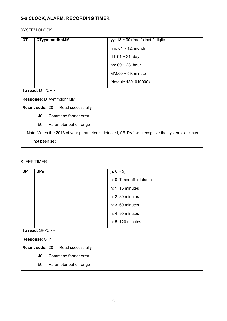# **5-6 CLOCK, ALARM, RECORDING TIMER**

#### SYSTEM CLOCK

| <b>DT</b>                                                                                     | <b>DTyymmddhhMM</b>           | (yy: $13 \sim 99$ ) Year's last 2 digits. |  |
|-----------------------------------------------------------------------------------------------|-------------------------------|-------------------------------------------|--|
|                                                                                               |                               | mm: $01 \sim 12$ , month                  |  |
|                                                                                               |                               | dd: $01 \sim 31$ , day                    |  |
|                                                                                               |                               | hh: $00 \sim 23$ , hour                   |  |
|                                                                                               |                               | MM:00 $\sim$ 59, minute                   |  |
|                                                                                               |                               | (default: 1301010000)                     |  |
|                                                                                               | To read: DT <cr></cr>         |                                           |  |
| Response: DTyymmddhhMM                                                                        |                               |                                           |  |
| <b>Result code: 20 --- Read successfully</b>                                                  |                               |                                           |  |
|                                                                                               | 40 --- Command format error   |                                           |  |
|                                                                                               | 50 --- Parameter out of range |                                           |  |
| Note: When the 2013 of year parameter is detected, AR-DV1 will recognize the system clock has |                               |                                           |  |
|                                                                                               | not been set.                 |                                           |  |

#### SLEEP TIMER

| <b>SP</b> | <b>SPn</b>                                   | $(n: 0 \sim 5)$          |  |
|-----------|----------------------------------------------|--------------------------|--|
|           |                                              | n: 0 Timer off (default) |  |
|           |                                              | $n: 1$ 15 minutes        |  |
|           |                                              | $n: 2$ 30 minutes        |  |
|           |                                              | $n: 3$ 60 minutes        |  |
|           |                                              | n: 4 90 minutes          |  |
|           |                                              | n: 5 120 minutes         |  |
|           | To read: SP <cr></cr>                        |                          |  |
|           | Response: SPn                                |                          |  |
|           | <b>Result code: 20 --- Read successfully</b> |                          |  |
|           | 40 --- Command format error                  |                          |  |
|           | 50 --- Parameter out of range                |                          |  |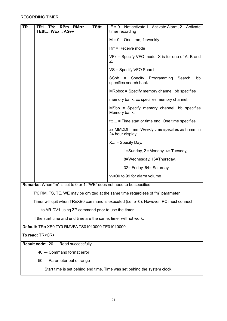| RMrrr<br>TSttt<br>TR<br>RPm<br>TR1<br><b>TYe</b><br><b>TEttt WEx AGvv</b>       | $E = 0$ Not activate 1 Activate Alarm, 2 Activate<br>timer recording                 |  |  |
|---------------------------------------------------------------------------------|--------------------------------------------------------------------------------------|--|--|
|                                                                                 | $M = 0$ One time, 1=weekly                                                           |  |  |
|                                                                                 | Rrr = Receive mode                                                                   |  |  |
|                                                                                 | $VFx = Specify VFO mode. X is for one of A, B and$<br>Z.                             |  |  |
|                                                                                 | VS = Specify VFO Search                                                              |  |  |
|                                                                                 | SSbb<br>= Specify Programming<br>Search.<br>bb<br>specifies search bank.             |  |  |
|                                                                                 | MRbbcc = Specify memory channel. bb specifies                                        |  |  |
|                                                                                 | memory bank. cc specifies memory channel.                                            |  |  |
|                                                                                 | MSbb = Specify memory channel. bb specifies<br>Memory bank.                          |  |  |
|                                                                                 | ttt = Time start or time end. One time specifies                                     |  |  |
|                                                                                 | as MMDDhhmm. Weekly time specifies as hhmm in<br>24 hour display.                    |  |  |
|                                                                                 | $X$ = Specify Day.                                                                   |  |  |
|                                                                                 | 1=Sunday, 2 =Monday, 4= Tuesday,                                                     |  |  |
|                                                                                 | 8=Wednesday, 16=Thursday,                                                            |  |  |
|                                                                                 | 32= Friday, 64= Saturday                                                             |  |  |
|                                                                                 | vv=00 to 99 for alarm volume                                                         |  |  |
| <b>Remarks:</b> When "m" is set to 0 or 1, "WE" does not need to be specified.  |                                                                                      |  |  |
| TY, RM, TS, TE, WE may be omitted at the same time regardless of "m" parameter. |                                                                                      |  |  |
|                                                                                 | Timer will quit when TRnXE0 command is executed (i.e. e=0). However, PC must connect |  |  |
|                                                                                 | to AR-DV1 using ZP command prior to use the timer.                                   |  |  |
| If the start time and end time are the same, timer will not work.               |                                                                                      |  |  |
| Default: TRn XE0 TY0 RMVFA TS01010000 TE01010000                                |                                                                                      |  |  |
| To read: TR <cr></cr>                                                           |                                                                                      |  |  |
| Result code: 20 --- Read successfully                                           |                                                                                      |  |  |
| 40 --- Command format error                                                     |                                                                                      |  |  |

50 --- Parameter out of range

Start time is set behind end time. Time was set behind the system clock.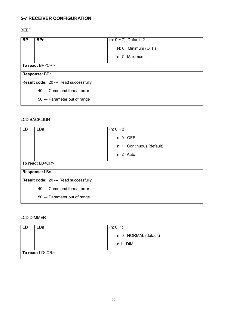#### **5-7 RECEIVER CONFIGURATION**

#### BEEP

| <b>BP</b>                                    | <b>BPn</b>                    | $(n: 0 \sim 7)$ Default: 2 |
|----------------------------------------------|-------------------------------|----------------------------|
|                                              |                               | N: 0 Minimum (OFF)         |
|                                              |                               | n: 7 Maximum               |
|                                              | To read: BP <cr></cr>         |                            |
| Response: BPn                                |                               |                            |
| <b>Result code: 20 --- Read successfully</b> |                               |                            |
|                                              | 40 --- Command format error   |                            |
|                                              | 50 --- Parameter out of range |                            |

#### LCD BACKLIGHT

| <b>LB</b>                                    | <b>LBn</b>                    | $(n: 0 \sim 2)$           |  |
|----------------------------------------------|-------------------------------|---------------------------|--|
|                                              |                               | $n: 0$ OFF                |  |
|                                              |                               | n: 1 Continuous (default) |  |
|                                              |                               | n: 2 Auto                 |  |
|                                              | To read: LB <cr></cr>         |                           |  |
|                                              | Response: LBn                 |                           |  |
| <b>Result code: 20 --- Read successfully</b> |                               |                           |  |
|                                              | 40 --- Command format error   |                           |  |
|                                              | 50 --- Parameter out of range |                           |  |

#### LCD DIMMER

| LD | <b>LDn</b>            | (n: 0, 1)             |
|----|-----------------------|-----------------------|
|    |                       | n: 0 NORMAL (default) |
|    |                       | $n:1$ DIM             |
|    | To read: LD <cr></cr> |                       |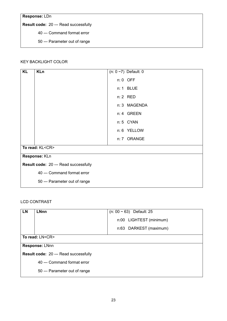**Response:** LDn

**Result code:** 20 --- Read successfully

40 --- Command format error

50 --- Parameter out of range

#### KEY BACKLIGHT COLOR

| <b>KL</b> | <b>KLn</b>                            | $(n: 0 \sim 7)$ Default: 0 |
|-----------|---------------------------------------|----------------------------|
|           |                                       | $n: 0$ OFF                 |
|           |                                       |                            |
|           |                                       | n: 1 BLUE                  |
|           |                                       | n: 2 RED                   |
|           |                                       | n: 3 MAGENDA               |
|           |                                       | n: 4 GREEN                 |
|           |                                       | n: 5 CYAN                  |
|           |                                       | n: 6 YELLOW                |
|           |                                       | n: 7 ORANGE                |
|           | To read: KL <cr></cr>                 |                            |
|           | Response: KLn                         |                            |
|           | Result code: 20 --- Read successfully |                            |
|           | 40 --- Command format error           |                            |
|           | 50 --- Parameter out of range         |                            |

#### LCD CONTRAST

| <b>LN</b>                                    | <b>LNnn</b>                   | $(n: 00 \sim 63)$ Default: 25 |  |
|----------------------------------------------|-------------------------------|-------------------------------|--|
|                                              |                               | n:00 LIGHTEST (minimum)       |  |
|                                              |                               | n:63 DARKEST (maximum)        |  |
|                                              | To read: LN <cr></cr>         |                               |  |
| Response: LNnn                               |                               |                               |  |
| <b>Result code: 20 --- Read successfully</b> |                               |                               |  |
|                                              | 40 --- Command format error   |                               |  |
|                                              | 50 --- Parameter out of range |                               |  |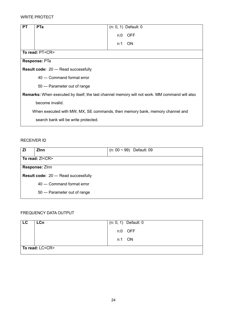#### WRITE PROTECT

| <b>PT</b> | <b>PTa</b>                                                                                           | $(n: 0, 1)$ Default: 0 |  |
|-----------|------------------------------------------------------------------------------------------------------|------------------------|--|
|           |                                                                                                      | <b>OFF</b><br>n:0      |  |
|           |                                                                                                      | ON.<br>n:1             |  |
|           | To read: PT <cr></cr>                                                                                |                        |  |
|           | Response: PTa                                                                                        |                        |  |
|           | <b>Result code: 20 --- Read successfully</b>                                                         |                        |  |
|           | 40 --- Command format error                                                                          |                        |  |
|           | 50 --- Parameter out of range                                                                        |                        |  |
|           | <b>Remarks:</b> When executed by itself, the last channel memory will not work. MM command will also |                        |  |
|           | become invalid.                                                                                      |                        |  |
|           | When executed with MW, MX, SE commands, then memory bank, memory channel and                         |                        |  |
|           | search bank will be write protected.                                                                 |                        |  |

#### RECEIVER ID

| ΖI | <b>Z</b> Inn                                 | $(n: 00 \sim 99)$ Default: 09 |  |
|----|----------------------------------------------|-------------------------------|--|
|    | To read: ZI <cr></cr>                        |                               |  |
|    | Response: Zinn                               |                               |  |
|    | <b>Result code: 20 --- Read successfully</b> |                               |  |
|    | 40 --- Command format error                  |                               |  |
|    | 50 --- Parameter out of range                |                               |  |

# FREQUENCY DATA OUTPUT

| LC. | <b>LCn</b>            | $(n: 0, 1)$ Default: 0 |
|-----|-----------------------|------------------------|
|     |                       | n:0 OFF                |
|     |                       | n:1 ON                 |
|     | To read: LC <cr></cr> |                        |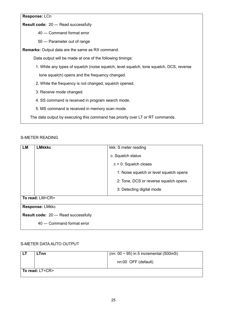#### **Response:** LCn

**Result code:** 20 --- Read successfully

40 --- Command format error

50 --- Parameter out of range

**Remarks:** Output data are the same as RX command.

Data output will be made at one of the following timings:

 1. While any types of squelch (noise squelch, level squelch, tone squelch, DCS, reverse tone squelch) opens and the frequency changed.

- 2. While the frequency is not changed, squelch opened.
- 3. Receive mode changed.
- 4. SS command is received in program search mode.
- 5. MS command is received in memory scan mode.

The data output by executing this command has priority over LT or RT commands.

#### S-METER READING

| <b>LM</b>                                    | <b>LMkkkc</b>               | kkk: S meter reading                    |
|----------------------------------------------|-----------------------------|-----------------------------------------|
|                                              |                             | c: Squelch status                       |
|                                              |                             | $c = 0$ : Squelch closes                |
|                                              |                             | 1: Noise squelch or level squelch opens |
|                                              |                             | 2: Tone, DCS or reverse squelch opens   |
|                                              |                             | 3: Detecting digital mode               |
|                                              | To read: LM <cr></cr>       |                                         |
|                                              | <b>Response: LMkkc</b>      |                                         |
| <b>Result code: 20 --- Read successfully</b> |                             |                                         |
|                                              | 40 --- Command format error |                                         |

#### S-METER DATA AUTO OUTPUT

| LTnn                  | $(nn: 00 \sim 95)$ in 5 incremental (500mS) |
|-----------------------|---------------------------------------------|
|                       | nn:00 OFF (default)                         |
| To read: LT <cr></cr> |                                             |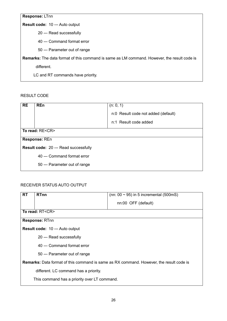**Response:** LTnn

**Result code:** 10 --- Auto output

20 --- Read successfully

40 --- Command format error

50 --- Parameter out of range

**Remarks:** The data format of this command is same as LM command. However, the result code is

different.

LC and RT commands have priority.

RESULT CODE

| <b>RE</b> | <b>REn</b>                            | (n: 0, 1)<br>n:0 Result code not added (default) |  |
|-----------|---------------------------------------|--------------------------------------------------|--|
|           |                                       | n:1 Result code added                            |  |
|           | To read: RE <cr></cr>                 |                                                  |  |
|           | Response: REn                         |                                                  |  |
|           | Result code: 20 --- Read successfully |                                                  |  |
|           | 40 --- Command format error           |                                                  |  |
|           | 50 --- Parameter out of range         |                                                  |  |

#### RECEIVER STATUS AUTO OUTPUT

| <b>RT</b>                                                                                      | <b>RTnn</b>                                  | (nn: $00 \sim 95$ ) in 5 incremental (500mS) |  |
|------------------------------------------------------------------------------------------------|----------------------------------------------|----------------------------------------------|--|
|                                                                                                |                                              |                                              |  |
|                                                                                                |                                              | nn:00 OFF (default)                          |  |
|                                                                                                |                                              |                                              |  |
|                                                                                                | To read: RT <cr></cr>                        |                                              |  |
|                                                                                                | Response: RTnn                               |                                              |  |
|                                                                                                | <b>Result code: 10 --- Auto output</b>       |                                              |  |
|                                                                                                | 20 --- Read successfully                     |                                              |  |
|                                                                                                | 40 --- Command format error                  |                                              |  |
|                                                                                                | 50 --- Parameter out of range                |                                              |  |
| <b>Remarks:</b> Data format of this command is same as RX command. However, the result code is |                                              |                                              |  |
|                                                                                                | different. LC command has a priority.        |                                              |  |
|                                                                                                | This command has a priority over LT command. |                                              |  |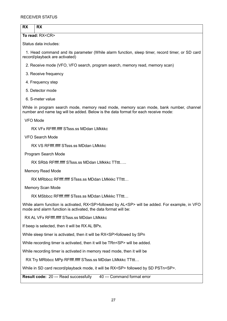# **RX RX**

**To read:** RX<CR>

Status data includes:

 1. Head command and its parameter (While alarm function, sleep timer, record timer, or SD card record/playback are activated)

2. Receive mode (VFO, VFO search, program search, memory read, memory scan)

3. Receive frequency

4. Frequency step

5. Detector mode

6. S-meter value

While in program search mode, memory read mode, memory scan mode, bank number, channel number and name tag will be added. Below is the data format for each receive mode:

VFO Mode

RX VFx RFffff.fffff STsss.ss MDdan LMkkkc

VFO Search Mode

RX VS RFffff.fffff STsss.ss MDdan LMkkkc

Program Search Mode

RX SRbb RFfff ffff STsss.ss MDdan LMkkkc TTfff.....

Memory Read Mode

RX MRbbcc RFffff.fffff STsss.ss MDdan LMkkkc TTttt...

Memory Scan Mode

RX MSbbcc RFfff.ffff STsss.ss MDdan LMkkkc TTttt...

While alarm function is activated, RX<SP>followed by AL<SP> will be added. For example, in VFO mode and alarm function is activated, the data format will be:

RX AL VFx RFffff.fffff STsss.ss MDdan LMkkkc

If beep is selected, then it will be RX AL BPx.

While sleep timer is activated, then it will be RX<SP>followed by SPn

While recording timer is activated, then it will be TRn<SP> will be added.

While recording timer is activated in memory read mode, then it will be

RX Try MRbbcc MPp RFffff.fffff STsss.ss MDdan LMkkkc TTttt...

While in SD card record/playback mode, it will be RX<SP> followed by SD PSTn<SP>.

**Result code:** 20 --- Read successfully 40 --- Command format error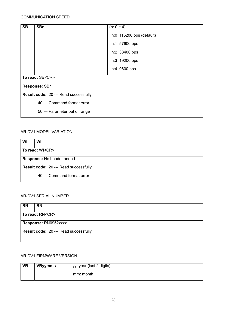#### COMMUNICATION SPEED

| <b>SB</b>                             | <b>SBn</b>                    | $(n: 0 \sim 4)$          |  |
|---------------------------------------|-------------------------------|--------------------------|--|
|                                       |                               | n:0 115200 bps (default) |  |
|                                       |                               | n:1 57600 bps            |  |
|                                       |                               | n:2 38400 bps            |  |
|                                       |                               | n:3 19200 bps            |  |
|                                       |                               | n:4 9600 bps             |  |
| To read: SB <cr></cr>                 |                               |                          |  |
| Response: SBn                         |                               |                          |  |
| Result code: 20 --- Read successfully |                               |                          |  |
|                                       | 40 --- Command format error   |                          |  |
|                                       | 50 --- Parameter out of range |                          |  |

#### AR-DV1 MODEL VARIATION

| WI                                           | WI                          |  |
|----------------------------------------------|-----------------------------|--|
| To read: WI <cr></cr>                        |                             |  |
| Response: No header added                    |                             |  |
| <b>Result code: 20 --- Read successfully</b> |                             |  |
|                                              | 40 --- Command format error |  |

#### AR-DV1 SERIAL NUMBER

| <b>RN</b>                             | <b>RN</b> |  |
|---------------------------------------|-----------|--|
| To read: RN <cr></cr>                 |           |  |
| Response: RN0952zzzz                  |           |  |
| Result code: 20 --- Read successfully |           |  |

#### AR-DV1 FIRMWARE VERSION

| <b>VR</b> | <b>VRyymms</b> | yy: year (last 2 digits) |  |
|-----------|----------------|--------------------------|--|
|           |                | mm: month                |  |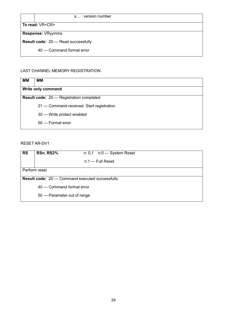#### s...: version number

To read: **VR<CR>** 

**Response:** VRyymms

**Result code:** 20 --- Read successfully

40 --- Command format error

#### LAST CHANNEL MEMORY REGISTRATION

| MМ | MМ                                           |  |  |
|----|----------------------------------------------|--|--|
|    | Write only command                           |  |  |
|    | Result code: 20 --- Registration completed   |  |  |
|    | 21 --- Command received. Start registration. |  |  |
|    | 30 --- Write protect enabled                 |  |  |
|    | 50 --- Format error                          |  |  |

#### RESET AR-DV1

| <b>RS</b>                                         | RSn, RS2%                     | $n: 0,1$ $n:0$ --- System Reset |  |
|---------------------------------------------------|-------------------------------|---------------------------------|--|
|                                                   |                               | $n:1 --$ Full Reset             |  |
| Perform reset                                     |                               |                                 |  |
| Result code: 20 --- Command executed successfully |                               |                                 |  |
| 40 --- Command format error                       |                               |                                 |  |
|                                                   | 50 --- Parameter out of range |                                 |  |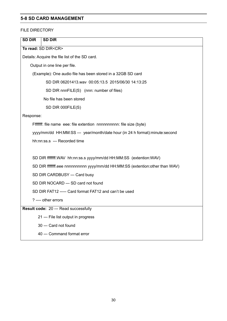#### **5-8 SD CARD MANAGEMENT**

#### FILE DIRECTORY

| <b>SD DIR</b><br><b>SD DIR</b>                                                |  |  |
|-------------------------------------------------------------------------------|--|--|
| To read: SD DIR <cr></cr>                                                     |  |  |
| Details: Acquire the file list of the SD card.                                |  |  |
| Output in one line per file.                                                  |  |  |
| (Example): One audio file has been stored in a 32GB SD card                   |  |  |
| SD DIR 06201413.wav 00:05:13.5 2015/06/30 14:13:25                            |  |  |
| SD DIR nnnFILE(S) (nnn: number of files)                                      |  |  |
| No file has been stored                                                       |  |  |
| SD DIR 000FILE(S)                                                             |  |  |
| Response:                                                                     |  |  |
| Fffffff: file name eee: file extention nnnnnnnnnn: file size (byte)           |  |  |
| yyyy/mm/dd HH:MM:SS --- year/month/date hour (in 24 h format):minute:second   |  |  |
| hh:nn:ss.s --- Recorded time                                                  |  |  |
|                                                                               |  |  |
| SD DIR ffffffff.WAV hh:nn:ss.s yyyy/mm/dd HH:MM:SS (extention:WAV)            |  |  |
| SD DIR fffffff.eee nnnnnnnnnnn yyyy/mm/dd HH:MM:SS (extention:other than WAV) |  |  |
| SD DIR CARDBUSY --- Card busy                                                 |  |  |
| SD DIR NOCARD --- SD card not found                                           |  |  |
| SD DIR FAT12 ----- Card format FAT12 and can't be used                        |  |  |
| ? ---- other errors                                                           |  |  |
| Result code: 20 --- Read successfully                                         |  |  |
| 21 --- File list output in progress                                           |  |  |
| 30 --- Card not found                                                         |  |  |
| 40 --- Command format error                                                   |  |  |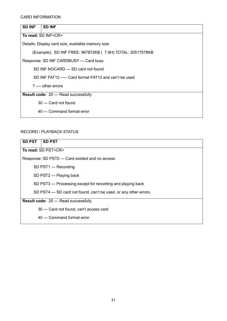#### CARD INFORMATION

| <b>SD INF</b>                                | <b>SD INF</b>                                             |  |  |
|----------------------------------------------|-----------------------------------------------------------|--|--|
|                                              |                                                           |  |  |
|                                              | To read: SD INF <cr></cr>                                 |  |  |
|                                              | Details: Display card size, available memory size         |  |  |
|                                              | (Example): SD INF FREE: 967872KB (7.8H) TOTAL: 30517578KB |  |  |
|                                              | Response: SD INF CARDBUSY --- Card busy                   |  |  |
|                                              | SD INF NOCARD --- SD card not found                       |  |  |
|                                              | SD INF FAT12 ----- Card format FAT12 and can't be used    |  |  |
|                                              | $?$ ---- other errors                                     |  |  |
| <b>Result code: 20 --- Read successfully</b> |                                                           |  |  |
|                                              | 30 --- Card not found                                     |  |  |
|                                              | 40 --- Command format error                               |  |  |

#### RECORD / PLAYBACK STATUS

| <b>SD PST</b>                                | <b>SD PST</b>                                                      |  |  |
|----------------------------------------------|--------------------------------------------------------------------|--|--|
|                                              | To read: SD PST <cr></cr>                                          |  |  |
|                                              | Response: SD PST0 --- Card existed and no access                   |  |  |
|                                              | SD PST1 --- Recording                                              |  |  |
|                                              | SD PST2 --- Playing back                                           |  |  |
|                                              | SD PST3 --- Processing except for recording and playing back       |  |  |
|                                              | SD PST4 --- SD card not found, can't be used, or any other errors. |  |  |
| <b>Result code: 20 --- Read successfully</b> |                                                                    |  |  |
|                                              | 30 --- Card not found, can't access card                           |  |  |
|                                              | 40 --- Command format error                                        |  |  |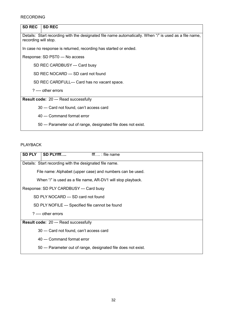#### RECORDING

| <b>SD REC</b><br><b>SD REC</b>                                                                                                 |  |  |
|--------------------------------------------------------------------------------------------------------------------------------|--|--|
| Details: Start recording with the designated file name automatically. When "/" is used as a file name,<br>recording will stop. |  |  |
| In case no response is returned, recording has started or ended.                                                               |  |  |
| Response: SD PST0 --- No access                                                                                                |  |  |
| SD REC CARDBUSY --- Card busy                                                                                                  |  |  |
| SD REC NOCARD --- SD card not found                                                                                            |  |  |
| SD REC CARDFULL--- Card has no vacant space.                                                                                   |  |  |
| $?$ ---- other errors                                                                                                          |  |  |
| <b>Result code: 20 --- Read successfully</b>                                                                                   |  |  |
| 30 --- Card not found, can't access card                                                                                       |  |  |
| 40 --- Command format error                                                                                                    |  |  |
| 50 --- Parameter out of range, designated file does not exist.                                                                 |  |  |

PLAYBACK

| <b>SD PLY</b>                                                  | SD PLYfff                                                   | $\mathsf{fff}$ : file name                                |  |
|----------------------------------------------------------------|-------------------------------------------------------------|-----------------------------------------------------------|--|
|                                                                | Details: Start recording with the designated file name.     |                                                           |  |
|                                                                |                                                             | File name: Alphabet (upper case) and numbers can be used. |  |
|                                                                | When "/" is used as a file name, AR-DV1 will stop playback. |                                                           |  |
|                                                                | Response: SD PLY CARDBUSY --- Card busy                     |                                                           |  |
|                                                                | SD PLY NOCARD --- SD card not found                         |                                                           |  |
|                                                                | SD PLY NOFILE --- Specified file cannot be found            |                                                           |  |
| ? ---- other errors                                            |                                                             |                                                           |  |
| <b>Result code: 20 --- Read successfully</b>                   |                                                             |                                                           |  |
| 30 --- Card not found, can't access card                       |                                                             |                                                           |  |
|                                                                | 40 --- Command format error                                 |                                                           |  |
| 50 --- Parameter out of range, designated file does not exist. |                                                             |                                                           |  |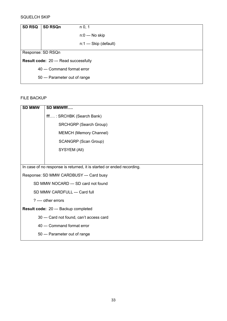#### SQUELCH SKIP

| <b>SD RSQ</b> | <b>SD RSQn</b>                        | n 0, 1                 |  |
|---------------|---------------------------------------|------------------------|--|
|               |                                       | n:0 --- No skip        |  |
|               |                                       | n:1 --- Skip (default) |  |
|               | Response: SD RSQn                     |                        |  |
|               | Result code: 20 --- Read successfully |                        |  |
|               | 40 --- Command format error           |                        |  |
|               | 50 --- Parameter out of range         |                        |  |

#### FILE BACKUP

| <b>SD MMW</b>                                                         | SD MMWfff                                |  |  |
|-----------------------------------------------------------------------|------------------------------------------|--|--|
|                                                                       | fff: SRCHBK (Search Bank)                |  |  |
|                                                                       | <b>SRCHGRP (Search Group)</b>            |  |  |
|                                                                       | MEMCH (Memory Channel)                   |  |  |
|                                                                       | <b>SCANGRP (Scan Group)</b>              |  |  |
|                                                                       | SYSYEM (All)                             |  |  |
|                                                                       |                                          |  |  |
| In case of no response is returned, it is started or ended recording. |                                          |  |  |
|                                                                       | Response: SD MMW CARDBUSY --- Card busy  |  |  |
|                                                                       | SD MMW NOCARD --- SD card not found      |  |  |
| SD MMW CARDFULL --- Card full                                         |                                          |  |  |
| ? ---- other errors                                                   |                                          |  |  |
| Result code: 20 --- Backup completed                                  |                                          |  |  |
|                                                                       | 30 --- Card not found, can't access card |  |  |
|                                                                       | 40 --- Command format error              |  |  |
|                                                                       | 50 --- Parameter out of range            |  |  |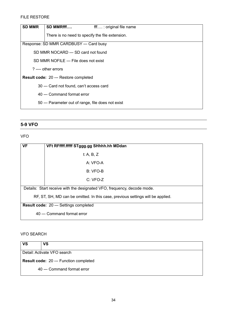#### FILE RESTORE

| <b>SD MMR</b>                                                                            | SD MMRfff<br>fff: original file name               |  |  |
|------------------------------------------------------------------------------------------|----------------------------------------------------|--|--|
|                                                                                          | There is no need to specify the file extension.    |  |  |
| Response: SD MMR CARDBUSY --- Card busy                                                  |                                                    |  |  |
|                                                                                          | SD MMR NOCARD --- SD card not found                |  |  |
|                                                                                          | SD MMR NOFILE --- File does not exist              |  |  |
|                                                                                          | $?$ ---- other errors                              |  |  |
|                                                                                          |                                                    |  |  |
|                                                                                          |                                                    |  |  |
|                                                                                          | 40 --- Command format error                        |  |  |
|                                                                                          | 50 --- Parameter out of range, file does not exist |  |  |
| <b>Result code: 20 --- Restore completed</b><br>30 --- Card not found, can't access card |                                                    |  |  |

# **5-9 VFO**

VFO

| <b>VF</b>                                                                       | VFt RFffff.fffff STggg.gg SHhhh.hh MDdan                                |  |  |
|---------------------------------------------------------------------------------|-------------------------------------------------------------------------|--|--|
|                                                                                 | t: A, B, $Z$                                                            |  |  |
|                                                                                 | A: VFO-A                                                                |  |  |
|                                                                                 | B: VFO-B                                                                |  |  |
|                                                                                 | $C: VFO-Z$                                                              |  |  |
|                                                                                 | Details: Start receive with the designated VFO, frequency, decode mode. |  |  |
| RF, ST, SH, MD can be omitted. In this case, previous settings will be applied. |                                                                         |  |  |
| <b>Result code: 20 --- Settings completed</b>                                   |                                                                         |  |  |
|                                                                                 | 40 --- Command format error                                             |  |  |

#### VFO SEARCH

| <b>VS</b>                                     | VS                          |  |
|-----------------------------------------------|-----------------------------|--|
| Detail: Activate VFO search                   |                             |  |
| <b>Result code: 20 --- Function completed</b> |                             |  |
|                                               | 40 --- Command format error |  |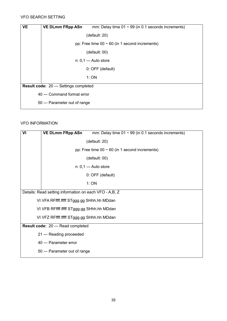#### VFO SEARCH SETTING

| <b>VE</b>                                     | <b>VE DLmm FRpp ASn</b>       | mm: Delay time $01 \sim 99$ (in 0.1 seconds increments) |  |
|-----------------------------------------------|-------------------------------|---------------------------------------------------------|--|
|                                               |                               | (default: 20)                                           |  |
|                                               |                               | pp: Free time $00 \sim 60$ (in 1 second increments)     |  |
|                                               |                               | (detault: 00)                                           |  |
|                                               |                               | n: 0,1 --- Auto store                                   |  |
|                                               |                               | 0: OFF (default)                                        |  |
|                                               |                               | 1:ON                                                    |  |
| <b>Result code: 20 --- Settings completed</b> |                               |                                                         |  |
|                                               | 40 --- Command format error   |                                                         |  |
|                                               | 50 --- Parameter out of range |                                                         |  |

#### VFO INFORMATION

| VI                                                     | <b>VE DLmm FRpp ASn</b><br>mm: Delay time $01 \sim 99$ (in 0.1 seconds increments) |  |  |
|--------------------------------------------------------|------------------------------------------------------------------------------------|--|--|
|                                                        | (default: 20)                                                                      |  |  |
|                                                        | pp: Free time $00 \sim 60$ (in 1 second increments)                                |  |  |
|                                                        | (default: 00)                                                                      |  |  |
|                                                        | n: 0,1 --- Auto store                                                              |  |  |
|                                                        | 0: OFF (default)                                                                   |  |  |
|                                                        | 1:ON                                                                               |  |  |
| Details: Read setting information on each VFO - A,B, Z |                                                                                    |  |  |
|                                                        | VI VFA RFffff.fffff STggg.gg SHhh.hh MDdan                                         |  |  |
|                                                        | VI VFB RFffff.fffff STggg.gg SHhh.hh MDdan                                         |  |  |
|                                                        | VI VFZ RFffff.fffff STggg.gg SHhh.hh MDdan                                         |  |  |
| Result code: 20 --- Read completed                     |                                                                                    |  |  |
|                                                        | 21 --- Reading proceeded                                                           |  |  |
|                                                        | 40 --- Parameter error                                                             |  |  |
|                                                        | 50 --- Parameter out of range                                                      |  |  |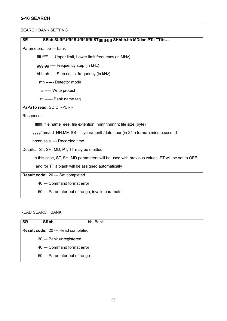#### **5-10 SEARCH**

#### SEARCH BANK SETTING

| SEbb SLffff.fffff SUffff.fffff STggg.gg SHhhh.hh MDdan PTa TTttt<br><b>SE</b>                 |  |  |
|-----------------------------------------------------------------------------------------------|--|--|
| Parameters: bb --- bank                                                                       |  |  |
| ffff.fffff --- Upper limit, Lower limit frequency (in MHz)                                    |  |  |
| ggg.gg ---- Frequency step (in kHz)                                                           |  |  |
| hhh.hh ---- Step adjust frequency (in kHz)                                                    |  |  |
| mn ------ Detector mode                                                                       |  |  |
| a ----- Write protect                                                                         |  |  |
| ttt ------ Bank name tag                                                                      |  |  |
| PaPaTo read: SD DIR <cr></cr>                                                                 |  |  |
| Response:                                                                                     |  |  |
| Fffffff: file name eee: file extention nnnnnnnnnn: file size (byte)                           |  |  |
| yyyy/mm/dd HH:MM:SS --- year/month/date hour (in 24 h format):minute:second                   |  |  |
| hh:nn:ss.s --- Recorded time                                                                  |  |  |
| Details: ST, SH, MD, PT, TT may be omitted.                                                   |  |  |
| In this case, ST, SH, MD parameters will be used with previous values, PT will be set to OFF, |  |  |
| and for TT a blank will be assigned automatically.                                            |  |  |
| Result code: 20 --- Set completed                                                             |  |  |
| 40 --- Command format error                                                                   |  |  |
| 50 --- Parameter out of range, invalid parameter                                              |  |  |

#### READ SEARCH BANK

| <b>SR</b> | <b>SRbb</b>                               | bb: Bank |  |
|-----------|-------------------------------------------|----------|--|
|           | <b>Result code: 20 --- Read completed</b> |          |  |
|           | 30 --- Bank unregistered                  |          |  |
|           | 40 --- Command format error               |          |  |
|           | 50 --- Parameter out of range             |          |  |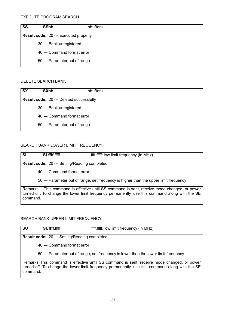| <b>SS</b> | <b>SSbb</b>                                  | bb: Bank |  |
|-----------|----------------------------------------------|----------|--|
|           | <b>Result code: 20 --- Executed properly</b> |          |  |
|           | 30 --- Bank unregistered                     |          |  |
|           | 40 --- Command format error                  |          |  |
|           | 50 --- Parameter out of range                |          |  |

#### DELETE SEARCH BANK

| <b>SX</b> | <b>SXbb</b>                                     | bb: Bank |  |
|-----------|-------------------------------------------------|----------|--|
|           | <b>Result code: 20 --- Deleted successfully</b> |          |  |
|           | 30 --- Bank unregistered                        |          |  |
|           | 40 --- Command format error                     |          |  |
|           | 50 --- Parameter out of range                   |          |  |

#### SEARCH BANK LOWER LIMIT FREQUENCY

| <b>SL</b> | <b>SLffff.fffff</b>                                  | ffff.ffff: low limit frequency (in MHz)                                                                                                                                                        |
|-----------|------------------------------------------------------|------------------------------------------------------------------------------------------------------------------------------------------------------------------------------------------------|
|           | <b>Result code: 20 --- Setting/Reading completed</b> |                                                                                                                                                                                                |
|           | 40 --- Command format error                          |                                                                                                                                                                                                |
|           |                                                      | 50 --- Parameter out of range, set frequency is higher than the upper limit frequency                                                                                                          |
| command.  |                                                      | Remarks: This command is effective until SS command is sent, receive mode changed, or power<br>turned off. To change the lower limit frequency permanently, use this command along with the SE |

#### SEARCH BANK UPPER LIMIT FREQUENCY

| <b>SU</b> | <b>SUffff.fffff</b>                                  | ffff.fffff: low limit frequency (in MHz)                                                                                                                                                      |
|-----------|------------------------------------------------------|-----------------------------------------------------------------------------------------------------------------------------------------------------------------------------------------------|
|           | <b>Result code: 20 --- Setting/Reading completed</b> |                                                                                                                                                                                               |
|           | 40 --- Command format error                          |                                                                                                                                                                                               |
|           |                                                      | 50 --- Parameter out of range, set frequency is lower than the lower limit frequency                                                                                                          |
| command.  |                                                      | Remarks This command is effective until SS command is sent, receive mode changed, or power<br>turned off. To change the lower limit frequency permanently, use this command along with the SE |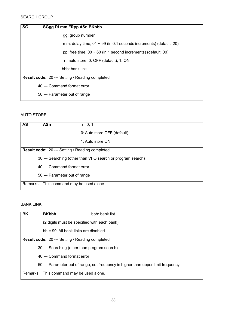#### SEARCH GROUP

| <b>SG</b> | SGgg DLmm FRpp ASn BKbbb                                               |  |
|-----------|------------------------------------------------------------------------|--|
|           | gg: group number                                                       |  |
|           | mm: delay time, $01 \sim 99$ (in 0.1 seconds increments) (default: 20) |  |
|           | pp: free time, $00 \sim 60$ (in 1 second increments) (default: 00)     |  |
|           | n: auto store, 0: OFF (default), 1: ON                                 |  |
|           | bbb: bank link                                                         |  |
|           | <b>Result code: 20 --- Setting / Reading completed</b>                 |  |
|           | 40 --- Command format error                                            |  |
|           | 50 --- Parameter out of range                                          |  |

#### AUTO STORE

| <b>AS</b>                                | <b>ASn</b>                                                 | n: 0, 1                     |  |
|------------------------------------------|------------------------------------------------------------|-----------------------------|--|
|                                          |                                                            | 0: Auto store OFF (default) |  |
|                                          |                                                            | 1: Auto store ON            |  |
|                                          | <b>Result code: 20 --- Setting / Reading completed</b>     |                             |  |
|                                          | 30 --- Searching (other than VFO search or program search) |                             |  |
|                                          | 40 --- Command format error                                |                             |  |
|                                          | 50 --- Parameter out of range                              |                             |  |
| Remarks: This command may be used alone. |                                                            |                             |  |

#### BANK LINK

| <b>BK</b> | BKbbb                                                  | bbb: bank list                                                                     |
|-----------|--------------------------------------------------------|------------------------------------------------------------------------------------|
|           | (2 digits must be specified with each bank)            |                                                                                    |
|           | bb = 99 All bank links are disabled.                   |                                                                                    |
|           | <b>Result code: 20 --- Setting / Reading completed</b> |                                                                                    |
|           | 30 --- Searching (other than program search)           |                                                                                    |
|           | 40 --- Command format error                            |                                                                                    |
|           |                                                        | 50 --- Parameter out of range, set frequency is higher than upper limit frequency. |
|           | Remarks: This command may be used alone.               |                                                                                    |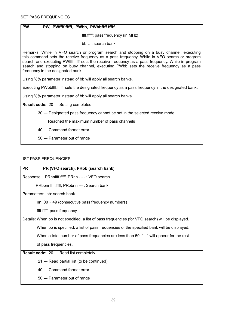| <b>PW</b>                                                                                                                                                                                                                                                                                                                                                                                                                      | PW, PWffff.fffff, PWbb, PWbbffff.fffff                                                             |  |
|--------------------------------------------------------------------------------------------------------------------------------------------------------------------------------------------------------------------------------------------------------------------------------------------------------------------------------------------------------------------------------------------------------------------------------|----------------------------------------------------------------------------------------------------|--|
|                                                                                                                                                                                                                                                                                                                                                                                                                                | ffff.fffff: pass frequency (in MHz)                                                                |  |
|                                                                                                                                                                                                                                                                                                                                                                                                                                | $bb$ : search bank                                                                                 |  |
| Remarks: While in VFO search or program search and stopping on a busy channel, executing<br>this command sets the receive frequency as a pass frequency. While in VFO search or program<br>search and executing PWffff.fffff sets the receive frequency as a pass frequency. While in program<br>search and stopping on busy channel, executing PWbb sets the receive frequency as a pass<br>frequency in the designated bank. |                                                                                                    |  |
|                                                                                                                                                                                                                                                                                                                                                                                                                                | Using %% parameter instead of bb will apply all search banks.                                      |  |
|                                                                                                                                                                                                                                                                                                                                                                                                                                | Executing PWbbffff.fffff sets the designated frequency as a pass frequency in the designated bank. |  |
| Using %% parameter instead of bb will apply all search banks.                                                                                                                                                                                                                                                                                                                                                                  |                                                                                                    |  |
| <b>Result code: 20 --- Setting completed</b>                                                                                                                                                                                                                                                                                                                                                                                   |                                                                                                    |  |
|                                                                                                                                                                                                                                                                                                                                                                                                                                | 30 --- Designated pass frequency cannot be set in the selected receive mode.                       |  |
|                                                                                                                                                                                                                                                                                                                                                                                                                                | Reached the maximum number of pass channels                                                        |  |
|                                                                                                                                                                                                                                                                                                                                                                                                                                | 40 --- Command format error                                                                        |  |
|                                                                                                                                                                                                                                                                                                                                                                                                                                | 50 --- Parameter out of range                                                                      |  |
|                                                                                                                                                                                                                                                                                                                                                                                                                                |                                                                                                    |  |

# LIST PASS FREQUENCIES

| <b>PR</b>                                       | PR (VFO search), PRbb (search bank)                                                               |
|-------------------------------------------------|---------------------------------------------------------------------------------------------------|
|                                                 | Response: PRnnffff.fffff, PRnn - - -: VFO search                                                  |
|                                                 | PRbbnnffff.fffff, PRbbnn ---: Search bank                                                         |
|                                                 | Parameters: bb: search bank                                                                       |
|                                                 | nn: $00 \sim 49$ (consecutive pass frequency numbers)                                             |
|                                                 | ffff.ffff: pass frequency                                                                         |
|                                                 | Details: When bb is not specified, a list of pass frequencies (for VFO search) will be displayed. |
|                                                 | When bb is specified, a list of pass frequencies of the specified bank will be displayed.         |
|                                                 | When a total number of pass frequencies are less than 50, "---" will appear for the rest          |
|                                                 | of pass frequencies.                                                                              |
| <b>Result code: 20 --- Read list completely</b> |                                                                                                   |
|                                                 | 21 --- Read partial list (to be continued)                                                        |
|                                                 | 40 --- Command format error                                                                       |
|                                                 | 50 --- Parameter out of range                                                                     |
|                                                 |                                                                                                   |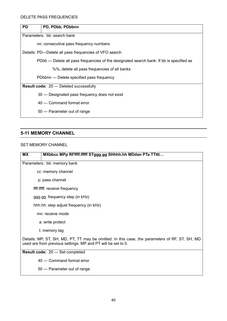| <b>PD</b> | PD, PDbb, PDbbnn                                                                          |  |
|-----------|-------------------------------------------------------------------------------------------|--|
|           | Parameters: bb: search bank                                                               |  |
|           | nn: consecutive pass frequency numbers                                                    |  |
|           | Details: PD---Delete all pass frequencies of VFO search                                   |  |
|           | PDbb --- Delete all pass frequencies of the designated search bank. If bb is specified as |  |
|           | %%, delete all pass frequencies of all banks                                              |  |
|           | PDbbnn --- Delete specified pass frequency                                                |  |
|           | <b>Result code: 20 --- Deleted successfully</b>                                           |  |
|           | 30 --- Designated pass frequency does not exist                                           |  |
|           | 40 --- Command format error                                                               |  |
|           | 50 --- Parameter out of range                                                             |  |
|           |                                                                                           |  |

# **5-11 MEMORY CHANNEL**

#### SET MEMORY CHANNEL

| <b>MX</b><br>MXbbcc MPp RFffff.fffff STggg.gg SHhhh.hh MDdan PTa TTttt                                                                                         |  |  |
|----------------------------------------------------------------------------------------------------------------------------------------------------------------|--|--|
| Parameters: bb: memory bank                                                                                                                                    |  |  |
| cc: memory channel                                                                                                                                             |  |  |
| p: pass channel                                                                                                                                                |  |  |
| ffff.fffff: receive frequency                                                                                                                                  |  |  |
| ggg.gg: frequency step (in kHz)                                                                                                                                |  |  |
| hhh.hh: step adjust frequency (in kHz)                                                                                                                         |  |  |
| mn: receive mode                                                                                                                                               |  |  |
| a: write protect                                                                                                                                               |  |  |
| t: memory tag                                                                                                                                                  |  |  |
| Details: MP, ST, SH, MD, PT, TT may be omitted. In this case, the parameters of RF, ST, SH, MD<br>used are from previous settings. MP and PT will be set to 0. |  |  |
| Result code: 20 --- Set completed                                                                                                                              |  |  |
| 40 --- Command format error                                                                                                                                    |  |  |
| 50 --- Parameter out of range                                                                                                                                  |  |  |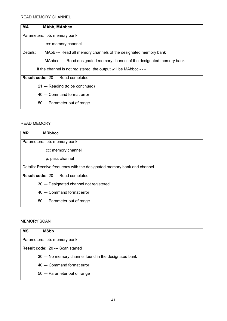| МA       | <b>MAbb, MAbbcc</b>                                                     |  |
|----------|-------------------------------------------------------------------------|--|
|          | Parameters: bb: memory bank                                             |  |
|          | cc: memory channel                                                      |  |
| Details: | MAbb --- Read all memory channels of the designated memory bank         |  |
|          | MAbbcc --- Read designated memory channel of the designated memory bank |  |
|          | If the channel is not registered, the output will be MAbbcc - - -       |  |
|          | Result code: 20 --- Read completed                                      |  |
|          | 21 --- Reading (to be continued)                                        |  |
|          | 40 --- Command format error                                             |  |
|          | 50 --- Parameter out of range                                           |  |

#### READ MEMORY

| <b>MR</b>                                                               | <b>MRbbcc</b>                            |  |
|-------------------------------------------------------------------------|------------------------------------------|--|
|                                                                         | Parameters: bb: memory bank              |  |
|                                                                         | cc: memory channel                       |  |
|                                                                         | p: pass channel                          |  |
| Details: Receive frequency with the designated memory bank and channel. |                                          |  |
| Result code: 20 --- Read completed                                      |                                          |  |
|                                                                         | 30 --- Designated channel not registered |  |
|                                                                         | 40 --- Command format error              |  |
|                                                                         | 50 --- Parameter out of range            |  |

#### MEMORY SCAN

| <b>MS</b>                               | <b>MSbb</b>                                           |
|-----------------------------------------|-------------------------------------------------------|
| Parameters: bb: memory bank             |                                                       |
| <b>Result code: 20 --- Scan started</b> |                                                       |
|                                         | 30 --- No memory channel found in the designated bank |
|                                         | 40 --- Command format error                           |
|                                         | 50 --- Parameter out of range                         |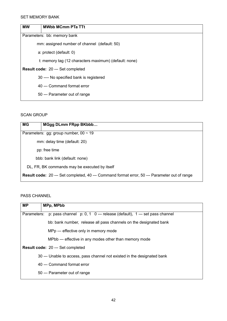| <b>MW</b>                                | <b>MWbb MCmm PTa TTt</b>                              |
|------------------------------------------|-------------------------------------------------------|
|                                          | Parameters: bb: memory bank                           |
|                                          | mm: assigned number of channel (default: 50)          |
|                                          | a: protect (default: 0)                               |
|                                          | t: memory tag (12 characters maximum) (default: none) |
| <b>Result code: 20 --- Set completed</b> |                                                       |
|                                          | 30 ---- No specified bank is registered               |
|                                          | 40 --- Command format error                           |
|                                          | 50 --- Parameter out of range                         |

#### SCAN GROUP

| <b>MG</b>                                                                                            | MGgg DLmm FRpp BKbbb           |  |
|------------------------------------------------------------------------------------------------------|--------------------------------|--|
| Parameters: gg: group number, $00 \sim 19$                                                           |                                |  |
| mm: delay time (default: 20)                                                                         |                                |  |
|                                                                                                      | pp: free time                  |  |
|                                                                                                      | bbb: bank link (default: none) |  |
| DL, FR, BK commands may be executed by itself                                                        |                                |  |
| <b>Result code:</b> 20 --- Set completed, 40 --- Command format error, 50 --- Parameter out of range |                                |  |

# PASS CHANNEL

| MPp, MPbb                                                                                                        |  |
|------------------------------------------------------------------------------------------------------------------|--|
| p: pass channel $p: 0, 1 \quad 0 \rightarrow$ release (default), 1 $\rightarrow$ set pass channel<br>Parameters: |  |
| bb: bank number, release all pass channels on the designated bank                                                |  |
| MPp --- effective only in memory mode                                                                            |  |
| MPbb --- effective in any modes other than memory mode                                                           |  |
| Result code: 20 --- Set completed                                                                                |  |
| 30 --- Unable to access, pass channel not existed in the designated bank                                         |  |
| 40 --- Command format error                                                                                      |  |
| 50 --- Parameter out of range                                                                                    |  |
|                                                                                                                  |  |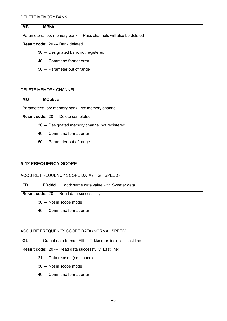#### DELETE MEMORY BANK

| MВ                                                              | <b>MBbb</b>                           |  |
|-----------------------------------------------------------------|---------------------------------------|--|
| Parameters: bb: memory bank  Pass channels will also be deleted |                                       |  |
| <b>Result code: 20 --- Bank deleted</b>                         |                                       |  |
|                                                                 | 30 --- Designated bank not registered |  |
|                                                                 | 40 --- Command format error           |  |
|                                                                 | 50 --- Parameter out of range         |  |

#### DELETE MEMORY CHANNEL

| <b>MQ</b>                                       | <b>MQbbcc</b>                                   |
|-------------------------------------------------|-------------------------------------------------|
| Parameters: bb: memory bank, cc: memory channel |                                                 |
| Result code: 20 --- Delete completed            |                                                 |
|                                                 | 30 --- Designated memory channel not registered |
|                                                 | 40 --- Command format error                     |
|                                                 | 50 --- Parameter out of range                   |

# **5-12 FREQUENCY SCOPE**

#### ACQUIRE FREQUENCY SCOPE DATA (HIGH SPEED)

| <b>FD</b>                                         | <b>FDddd</b> ddd: same data value with S-meter data |
|---------------------------------------------------|-----------------------------------------------------|
| <b>Result code: 20 --- Read data successfully</b> |                                                     |
|                                                   | 30 --- Not in scope mode                            |
|                                                   | 40 --- Command format error                         |

#### ACQUIRE FREQUENCY SCOPE DATA (NORMAL SPEED)

| GL                                                            | Output data format: Fffff.fffffLkkc (per line), /--- last line |
|---------------------------------------------------------------|----------------------------------------------------------------|
| <b>Result code:</b> 20 --- Read data successfully (Last line) |                                                                |
|                                                               | 21 --- Data reading (continued)                                |
|                                                               | 30 --- Not in scope mode                                       |
|                                                               | 40 --- Command format error                                    |